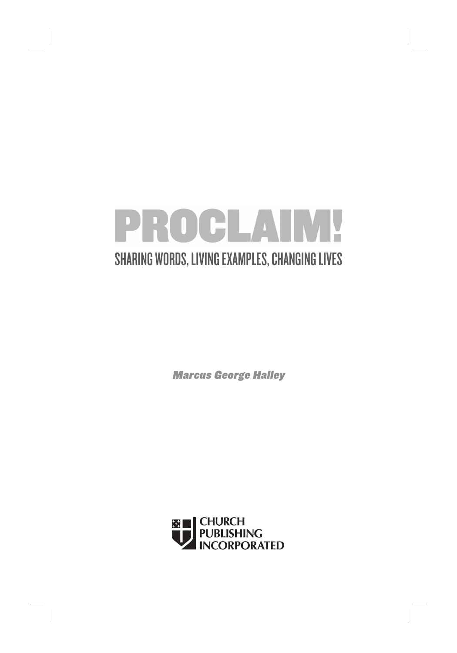

Marcus George Halley

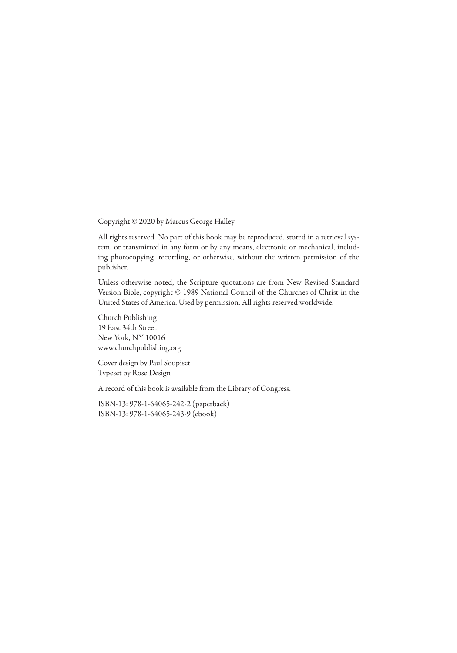Copyright © 2020 by Marcus George Halley

All rights reserved. No part of this book may be reproduced, stored in a retrieval system, or transmitted in any form or by any means, electronic or mechanical, including photocopying, recording, or otherwise, without the written permission of the publisher.

Unless otherwise noted, the Scripture quotations are from New Revised Standard Version Bible, copyright © 1989 National Council of the Churches of Christ in the United States of America. Used by permission. All rights reserved worldwide.

Church Publishing 19 East 34th Street New York, NY 10016 www.churchpublishing.org

Cover design by Paul Soupiset Typeset by Rose Design

A record of this book is available from the Library of Congress.

ISBN-13: 978-1-64065-242-2 (paperback) ISBN-13: 978-1-64065-243-9 (ebook)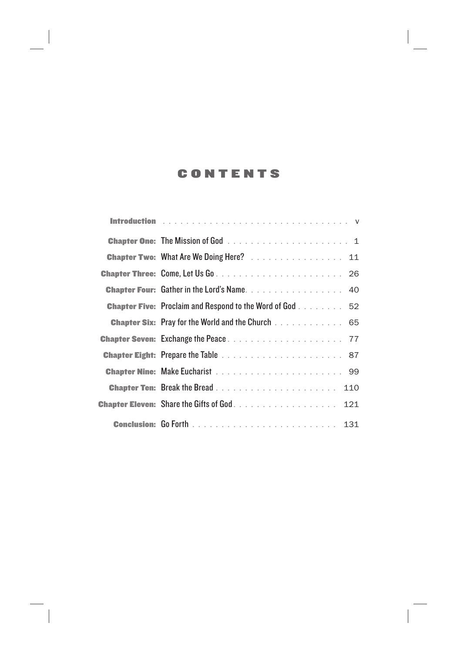## CONTENTS

| <b>Chapter Two: What Are We Doing Here?</b> 11                  |
|-----------------------------------------------------------------|
|                                                                 |
| <b>Chapter Four:</b> Gather in the Lord's Name 40               |
| <b>Chapter Five:</b> Proclaim and Respond to the Word of God 52 |
| <b>Chapter Six:</b> Pray for the World and the Church 65        |
|                                                                 |
|                                                                 |
|                                                                 |
| 110                                                             |
| <b>Chapter Eleven:</b> Share the Gifts of God<br>121            |
|                                                                 |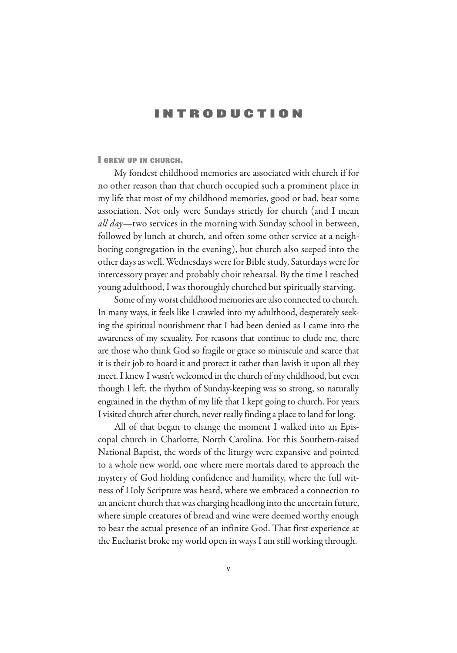## INTRODUCTION

I GREW UP IN CHURCH.

My fondest childhood memories are associated with church if for no other reason than that church occupied such a prominent place in my life that most of my childhood memories, good or bad, bear some association. Not only were Sundays strictly for church (and I mean *all day—*two services in the morning with Sunday school in between, followed by lunch at church, and often some other service at a neighboring congregation in the evening), but church also seeped into the other days as well. Wednesdays were for Bible study, Saturdays were for intercessory prayer and probably choir rehearsal. By the time I reached young adulthood, I was thoroughly churched but spiritually starving.

Some of my worst childhood memories are also connected to church. In many ways, it feels like I crawled into my adulthood, desperately seeking the spiritual nourishment that I had been denied as I came into the awareness of my sexuality. For reasons that continue to elude me, there are those who think God so fragile or grace so miniscule and scarce that it is their job to hoard it and protect it rather than lavish it upon all they meet. I knew I wasn't welcomed in the church of my childhood, but even though I left, the rhythm of Sunday-keeping was so strong, so naturally engrained in the rhythm of my life that I kept going to church. For years I visited church after church, never really finding a place to land for long.

All of that began to change the moment I walked into an Episcopal church in Charlotte, North Carolina. For this Southern-raised National Baptist, the words of the liturgy were expansive and pointed to a whole new world, one where mere mortals dared to approach the mystery of God holding confidence and humility, where the full witness of Holy Scripture was heard, where we embraced a connection to an ancient church that was charging headlong into the uncertain future, where simple creatures of bread and wine were deemed worthy enough to bear the actual presence of an infinite God. That first experience at the Eucharist broke my world open in ways I am still working through.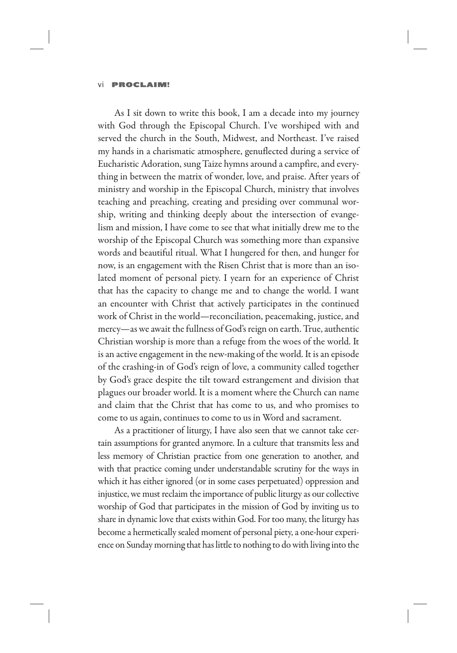As I sit down to write this book, I am a decade into my journey with God through the Episcopal Church. I've worshiped with and served the church in the South, Midwest, and Northeast. I've raised my hands in a charismatic atmosphere, genuflected during a service of Eucharistic Adoration, sung Taize hymns around a campfire, and everything in between the matrix of wonder, love, and praise. After years of ministry and worship in the Episcopal Church, ministry that involves teaching and preaching, creating and presiding over communal worship, writing and thinking deeply about the intersection of evangelism and mission, I have come to see that what initially drew me to the worship of the Episcopal Church was something more than expansive words and beautiful ritual. What I hungered for then, and hunger for now, is an engagement with the Risen Christ that is more than an isolated moment of personal piety. I yearn for an experience of Christ that has the capacity to change me and to change the world. I want an encounter with Christ that actively participates in the continued work of Christ in the world—reconciliation, peacemaking, justice, and mercy—as we await the fullness of God's reign on earth. True, authentic Christian worship is more than a refuge from the woes of the world. It is an active engagement in the new-making of the world. It is an episode of the crashing-in of God's reign of love, a community called together by God's grace despite the tilt toward estrangement and division that plagues our broader world. It is a moment where the Church can name and claim that the Christ that has come to us, and who promises to come to us again, continues to come to us in Word and sacrament.

As a practitioner of liturgy, I have also seen that we cannot take certain assumptions for granted anymore. In a culture that transmits less and less memory of Christian practice from one generation to another, and with that practice coming under understandable scrutiny for the ways in which it has either ignored (or in some cases perpetuated) oppression and injustice, we must reclaim the importance of public liturgy as our collective worship of God that participates in the mission of God by inviting us to share in dynamic love that exists within God. For too many, the liturgy has become a hermetically sealed moment of personal piety, a one-hour experience on Sunday morning that has little to nothing to do with living into the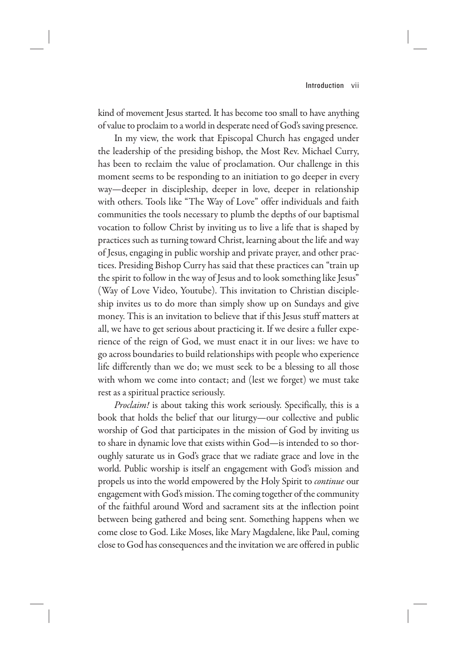kind of movement Jesus started. It has become too small to have anything of value to proclaim to a world in desperate need of God's saving presence.

In my view, the work that Episcopal Church has engaged under the leadership of the presiding bishop, the Most Rev. Michael Curry, has been to reclaim the value of proclamation. Our challenge in this moment seems to be responding to an initiation to go deeper in every way—deeper in discipleship, deeper in love, deeper in relationship with others. Tools like "The Way of Love" offer individuals and faith communities the tools necessary to plumb the depths of our baptismal vocation to follow Christ by inviting us to live a life that is shaped by practices such as turning toward Christ, learning about the life and way of Jesus, engaging in public worship and private prayer, and other practices. Presiding Bishop Curry has said that these practices can "train up the spirit to follow in the way of Jesus and to look something like Jesus" (Way of Love Video, Youtube). This invitation to Christian discipleship invites us to do more than simply show up on Sundays and give money. This is an invitation to believe that if this Jesus stuff matters at all, we have to get serious about practicing it. If we desire a fuller experience of the reign of God, we must enact it in our lives: we have to go across boundaries to build relationships with people who experience life differently than we do; we must seek to be a blessing to all those with whom we come into contact; and (lest we forget) we must take rest as a spiritual practice seriously.

*Proclaim!* is about taking this work seriously. Specifically, this is a book that holds the belief that our liturgy—our collective and public worship of God that participates in the mission of God by inviting us to share in dynamic love that exists within God—is intended to so thoroughly saturate us in God's grace that we radiate grace and love in the world. Public worship is itself an engagement with God's mission and propels us into the world empowered by the Holy Spirit to *continue* our engagement with God's mission. The coming together of the community of the faithful around Word and sacrament sits at the inflection point between being gathered and being sent. Something happens when we come close to God. Like Moses, like Mary Magdalene, like Paul, coming close to God has consequences and the invitation we are offered in public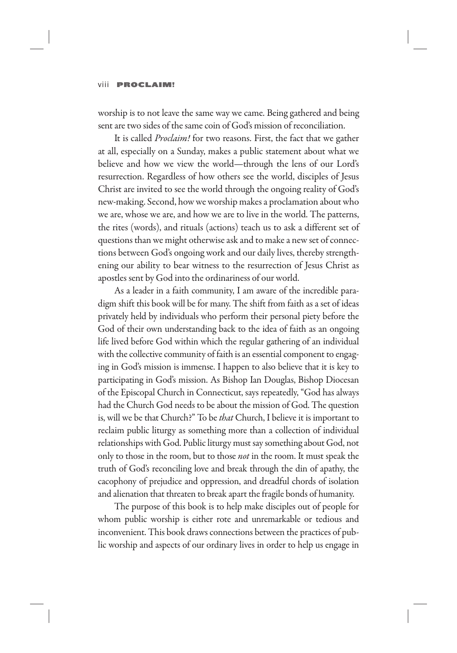worship is to not leave the same way we came. Being gathered and being sent are two sides of the same coin of God's mission of reconciliation.

It is called *Proclaim!* for two reasons. First, the fact that we gather at all, especially on a Sunday, makes a public statement about what we believe and how we view the world—through the lens of our Lord's resurrection. Regardless of how others see the world, disciples of Jesus Christ are invited to see the world through the ongoing reality of God's new-making. Second, how we worship makes a proclamation about who we are, whose we are, and how we are to live in the world. The patterns, the rites (words), and rituals (actions) teach us to ask a different set of questions than we might otherwise ask and to make a new set of connections between God's ongoing work and our daily lives, thereby strengthening our ability to bear witness to the resurrection of Jesus Christ as apostles sent by God into the ordinariness of our world.

As a leader in a faith community, I am aware of the incredible paradigm shift this book will be for many. The shift from faith as a set of ideas privately held by individuals who perform their personal piety before the God of their own understanding back to the idea of faith as an ongoing life lived before God within which the regular gathering of an individual with the collective community of faith is an essential component to engaging in God's mission is immense. I happen to also believe that it is key to participating in God's mission. As Bishop Ian Douglas, Bishop Diocesan of the Episcopal Church in Connecticut, says repeatedly, "God has always had the Church God needs to be about the mission of God. The question is, will we be that Church?" To be *that* Church, I believe it is important to reclaim public liturgy as something more than a collection of individual relationships with God. Public liturgy must say something about God, not only to those in the room, but to those *not* in the room. It must speak the truth of God's reconciling love and break through the din of apathy, the cacophony of prejudice and oppression, and dreadful chords of isolation and alienation that threaten to break apart the fragile bonds of humanity.

The purpose of this book is to help make disciples out of people for whom public worship is either rote and unremarkable or tedious and inconvenient. This book draws connections between the practices of public worship and aspects of our ordinary lives in order to help us engage in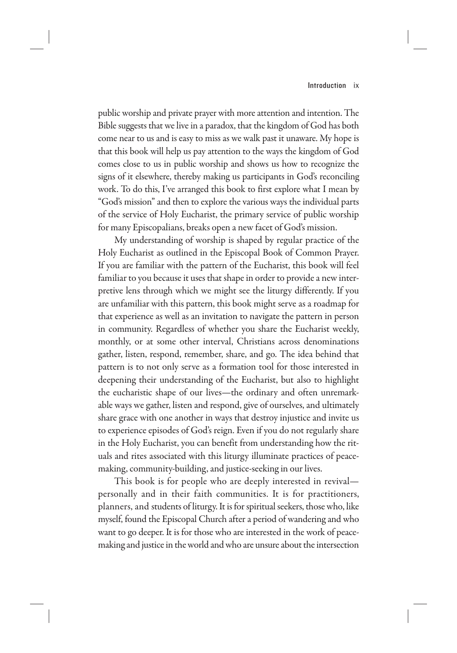public worship and private prayer with more attention and intention. The Bible suggests that we live in a paradox, that the kingdom of God has both come near to us and is easy to miss as we walk past it unaware. My hope is that this book will help us pay attention to the ways the kingdom of God comes close to us in public worship and shows us how to recognize the signs of it elsewhere, thereby making us participants in God's reconciling work. To do this, I've arranged this book to first explore what I mean by "God's mission" and then to explore the various ways the individual parts of the service of Holy Eucharist, the primary service of public worship for many Episcopalians, breaks open a new facet of God's mission.

My understanding of worship is shaped by regular practice of the Holy Eucharist as outlined in the Episcopal Book of Common Prayer. If you are familiar with the pattern of the Eucharist, this book will feel familiar to you because it uses that shape in order to provide a new interpretive lens through which we might see the liturgy differently. If you are unfamiliar with this pattern, this book might serve as a roadmap for that experience as well as an invitation to navigate the pattern in person in community. Regardless of whether you share the Eucharist weekly, monthly, or at some other interval, Christians across denominations gather, listen, respond, remember, share, and go. The idea behind that pattern is to not only serve as a formation tool for those interested in deepening their understanding of the Eucharist, but also to highlight the eucharistic shape of our lives—the ordinary and often unremarkable ways we gather, listen and respond, give of ourselves, and ultimately share grace with one another in ways that destroy injustice and invite us to experience episodes of God's reign. Even if you do not regularly share in the Holy Eucharist, you can benefit from understanding how the rituals and rites associated with this liturgy illuminate practices of peacemaking, community-building, and justice-seeking in our lives.

This book is for people who are deeply interested in revival personally and in their faith communities. It is for practitioners, planners, and students of liturgy. It is for spiritual seekers, those who, like myself, found the Episcopal Church after a period of wandering and who want to go deeper. It is for those who are interested in the work of peacemaking and justice in the world and who are unsure about the intersection